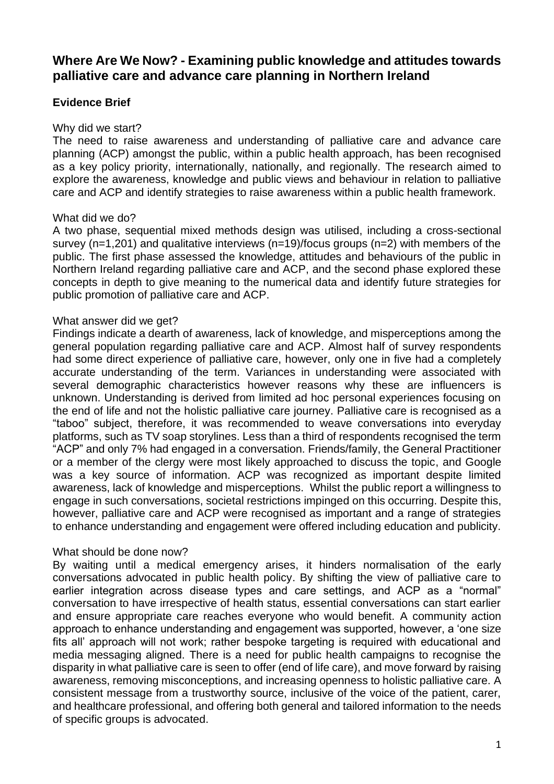# **Where Are We Now? - Examining public knowledge and attitudes towards palliative care and advance care planning in Northern Ireland**

## **Evidence Brief**

#### Why did we start?

The need to raise awareness and understanding of palliative care and advance care planning (ACP) amongst the public, within a public health approach, has been recognised as a key policy priority, internationally, nationally, and regionally. The research aimed to explore the awareness, knowledge and public views and behaviour in relation to palliative care and ACP and identify strategies to raise awareness within a public health framework.

#### What did we do?

A two phase, sequential mixed methods design was utilised, including a cross-sectional survey (n=1,201) and qualitative interviews (n=19)/focus groups (n=2) with members of the public. The first phase assessed the knowledge, attitudes and behaviours of the public in Northern Ireland regarding palliative care and ACP, and the second phase explored these concepts in depth to give meaning to the numerical data and identify future strategies for public promotion of palliative care and ACP.

#### What answer did we get?

Findings indicate a dearth of awareness, lack of knowledge, and misperceptions among the general population regarding palliative care and ACP. Almost half of survey respondents had some direct experience of palliative care, however, only one in five had a completely accurate understanding of the term. Variances in understanding were associated with several demographic characteristics however reasons why these are influencers is unknown. Understanding is derived from limited ad hoc personal experiences focusing on the end of life and not the holistic palliative care journey. Palliative care is recognised as a "taboo" subject, therefore, it was recommended to weave conversations into everyday platforms, such as TV soap storylines. Less than a third of respondents recognised the term "ACP" and only 7% had engaged in a conversation. Friends/family, the General Practitioner or a member of the clergy were most likely approached to discuss the topic, and Google was a key source of information. ACP was recognized as important despite limited awareness, lack of knowledge and misperceptions. Whilst the public report a willingness to engage in such conversations, societal restrictions impinged on this occurring. Despite this, however, palliative care and ACP were recognised as important and a range of strategies to enhance understanding and engagement were offered including education and publicity.

### What should be done now?

By waiting until a medical emergency arises, it hinders normalisation of the early conversations advocated in public health policy. By shifting the view of palliative care to earlier integration across disease types and care settings, and ACP as a "normal" conversation to have irrespective of health status, essential conversations can start earlier and ensure appropriate care reaches everyone who would benefit. A community action approach to enhance understanding and engagement was supported, however, a 'one size fits all' approach will not work; rather bespoke targeting is required with educational and media messaging aligned. There is a need for public health campaigns to recognise the disparity in what palliative care is seen to offer (end of life care), and move forward by raising awareness, removing misconceptions, and increasing openness to holistic palliative care. A consistent message from a trustworthy source, inclusive of the voice of the patient, carer, and healthcare professional, and offering both general and tailored information to the needs of specific groups is advocated.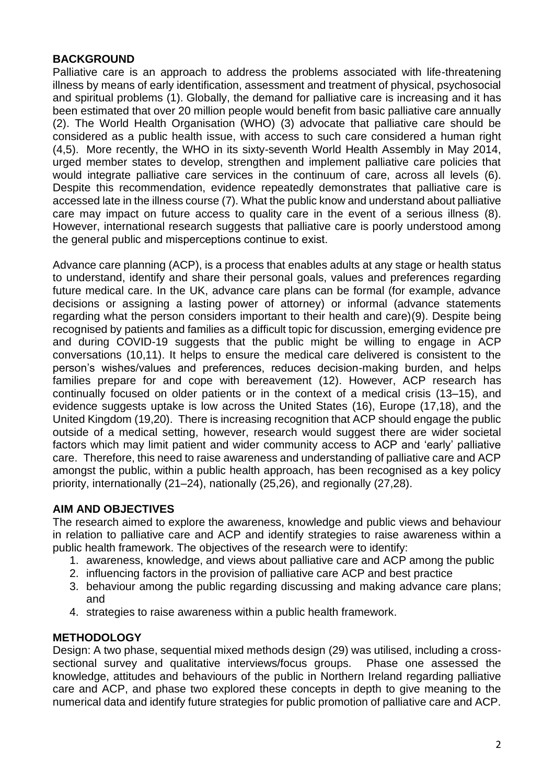### **BACKGROUND**

Palliative care is an approach to address the problems associated with life-threatening illness by means of early identification, assessment and treatment of physical, psychosocial and spiritual problems (1). Globally, the demand for palliative care is increasing and it has been estimated that over 20 million people would benefit from basic palliative care annually (2). The World Health Organisation (WHO) (3) advocate that palliative care should be considered as a public health issue, with access to such care considered a human right (4,5). More recently, the WHO in its sixty-seventh World Health Assembly in May 2014, urged member states to develop, strengthen and implement palliative care policies that would integrate palliative care services in the continuum of care, across all levels (6). Despite this recommendation, evidence repeatedly demonstrates that palliative care is accessed late in the illness course (7). What the public know and understand about palliative care may impact on future access to quality care in the event of a serious illness (8). However, international research suggests that palliative care is poorly understood among the general public and misperceptions continue to exist. 

Advance care planning (ACP), is a process that enables adults at any stage or health status to understand, identify and share their personal goals, values and preferences regarding future medical care. In the UK, advance care plans can be formal (for example, advance decisions or assigning a lasting power of attorney) or informal (advance statements regarding what the person considers important to their health and care)(9). Despite being recognised by patients and families as a difficult topic for discussion, emerging evidence pre and during COVID-19 suggests that the public might be willing to engage in ACP conversations (10,11). It helps to ensure the medical care delivered is consistent to the person's wishes/values and preferences, reduces decision-making burden, and helps families prepare for and cope with bereavement (12). However, ACP research has continually focused on older patients or in the context of a medical crisis (13–15), and evidence suggests uptake is low across the United States (16), Europe (17,18), and the United Kingdom (19,20). There is increasing recognition that ACP should engage the public outside of a medical setting, however, research would suggest there are wider societal factors which may limit patient and wider community access to ACP and 'early' palliative care. Therefore, this need to raise awareness and understanding of palliative care and ACP amongst the public, within a public health approach, has been recognised as a key policy priority, internationally (21–24), nationally (25,26), and regionally (27,28).

### **AIM AND OBJECTIVES**

The research aimed to explore the awareness, knowledge and public views and behaviour in relation to palliative care and ACP and identify strategies to raise awareness within a public health framework. The objectives of the research were to identify:

- 1. awareness, knowledge, and views about palliative care and ACP among the public
- 2. influencing factors in the provision of palliative care ACP and best practice
- 3. behaviour among the public regarding discussing and making advance care plans; and
- 4. strategies to raise awareness within a public health framework.

### **METHODOLOGY**

Design: A two phase, sequential mixed methods design (29) was utilised, including a crosssectional survey and qualitative interviews/focus groups. Phase one assessed the knowledge, attitudes and behaviours of the public in Northern Ireland regarding palliative care and ACP, and phase two explored these concepts in depth to give meaning to the numerical data and identify future strategies for public promotion of palliative care and ACP.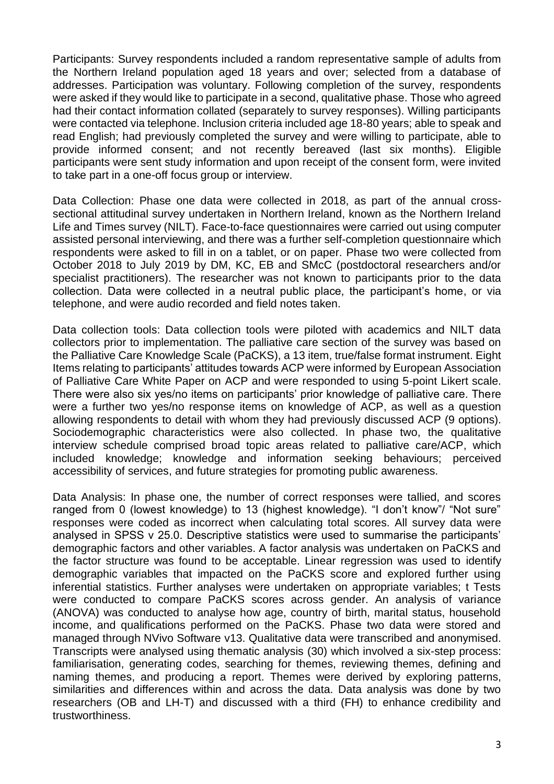Participants: Survey respondents included a random representative sample of adults from the Northern Ireland population aged 18 years and over; selected from a database of addresses. Participation was voluntary. Following completion of the survey, respondents were asked if they would like to participate in a second, qualitative phase. Those who agreed had their contact information collated (separately to survey responses). Willing participants were contacted via telephone. Inclusion criteria included age 18-80 years; able to speak and read English; had previously completed the survey and were willing to participate, able to provide informed consent; and not recently bereaved (last six months). Eligible participants were sent study information and upon receipt of the consent form, were invited to take part in a one-off focus group or interview.

Data Collection: Phase one data were collected in 2018, as part of the annual crosssectional attitudinal survey undertaken in Northern Ireland, known as the Northern Ireland Life and Times survey (NILT). Face-to-face questionnaires were carried out using computer assisted personal interviewing, and there was a further self-completion questionnaire which respondents were asked to fill in on a tablet, or on paper. Phase two were collected from October 2018 to July 2019 by DM, KC, EB and SMcC (postdoctoral researchers and/or specialist practitioners). The researcher was not known to participants prior to the data collection. Data were collected in a neutral public place, the participant's home, or via telephone, and were audio recorded and field notes taken.

Data collection tools: Data collection tools were piloted with academics and NILT data collectors prior to implementation. The palliative care section of the survey was based on the Palliative Care Knowledge Scale (PaCKS), a 13 item, true/false format instrument. Eight Items relating to participants' attitudes towards ACP were informed by European Association of Palliative Care White Paper on ACP and were responded to using 5-point Likert scale. There were also six yes/no items on participants' prior knowledge of palliative care. There were a further two yes/no response items on knowledge of ACP, as well as a question allowing respondents to detail with whom they had previously discussed ACP (9 options). Sociodemographic characteristics were also collected. In phase two, the qualitative interview schedule comprised broad topic areas related to palliative care/ACP, which included knowledge; knowledge and information seeking behaviours; perceived accessibility of services, and future strategies for promoting public awareness.

Data Analysis: In phase one, the number of correct responses were tallied, and scores ranged from 0 (lowest knowledge) to 13 (highest knowledge). "I don't know"/ "Not sure" responses were coded as incorrect when calculating total scores. All survey data were analysed in SPSS v 25.0. Descriptive statistics were used to summarise the participants' demographic factors and other variables. A factor analysis was undertaken on PaCKS and the factor structure was found to be acceptable. Linear regression was used to identify demographic variables that impacted on the PaCKS score and explored further using inferential statistics. Further analyses were undertaken on appropriate variables; t Tests were conducted to compare PaCKS scores across gender. An analysis of variance (ANOVA) was conducted to analyse how age, country of birth, marital status, household income, and qualifications performed on the PaCKS. Phase two data were stored and managed through NVivo Software v13. Qualitative data were transcribed and anonymised. Transcripts were analysed using thematic analysis (30) which involved a six-step process: familiarisation, generating codes, searching for themes, reviewing themes, defining and naming themes, and producing a report. Themes were derived by exploring patterns, similarities and differences within and across the data. Data analysis was done by two researchers (OB and LH-T) and discussed with a third (FH) to enhance credibility and trustworthiness.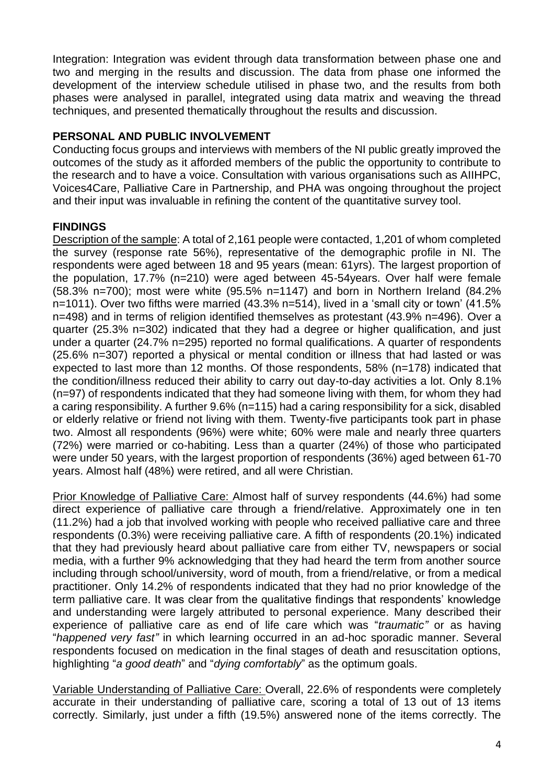Integration: Integration was evident through data transformation between phase one and two and merging in the results and discussion. The data from phase one informed the development of the interview schedule utilised in phase two, and the results from both phases were analysed in parallel, integrated using data matrix and weaving the thread techniques, and presented thematically throughout the results and discussion.

### **PERSONAL AND PUBLIC INVOLVEMENT**

Conducting focus groups and interviews with members of the NI public greatly improved the outcomes of the study as it afforded members of the public the opportunity to contribute to the research and to have a voice. Consultation with various organisations such as AIIHPC, Voices4Care, Palliative Care in Partnership, and PHA was ongoing throughout the project and their input was invaluable in refining the content of the quantitative survey tool.

## **FINDINGS**

Description of the sample: A total of 2,161 people were contacted, 1,201 of whom completed the survey (response rate 56%), representative of the demographic profile in NI. The respondents were aged between 18 and 95 years (mean: 61yrs). The largest proportion of the population, 17.7% (n=210) were aged between 45-54years. Over half were female (58.3% n=700); most were white (95.5% n=1147) and born in Northern Ireland (84.2% n=1011). Over two fifths were married (43.3% n=514), lived in a 'small city or town' (41.5% n=498) and in terms of religion identified themselves as protestant (43.9% n=496). Over a quarter (25.3% n=302) indicated that they had a degree or higher qualification, and just under a quarter (24.7% n=295) reported no formal qualifications. A quarter of respondents (25.6% n=307) reported a physical or mental condition or illness that had lasted or was expected to last more than 12 months. Of those respondents, 58% (n=178) indicated that the condition/illness reduced their ability to carry out day-to-day activities a lot. Only 8.1% (n=97) of respondents indicated that they had someone living with them, for whom they had a caring responsibility. A further 9.6% (n=115) had a caring responsibility for a sick, disabled or elderly relative or friend not living with them. Twenty-five participants took part in phase two. Almost all respondents (96%) were white; 60% were male and nearly three quarters (72%) were married or co-habiting. Less than a quarter (24%) of those who participated were under 50 years, with the largest proportion of respondents (36%) aged between 61-70 years. Almost half (48%) were retired, and all were Christian.

Prior Knowledge of Palliative Care: Almost half of survey respondents (44.6%) had some direct experience of palliative care through a friend/relative. Approximately one in ten (11.2%) had a job that involved working with people who received palliative care and three respondents (0.3%) were receiving palliative care. A fifth of respondents (20.1%) indicated that they had previously heard about palliative care from either TV, newspapers or social media, with a further 9% acknowledging that they had heard the term from another source including through school/university, word of mouth, from a friend/relative, or from a medical practitioner. Only 14.2% of respondents indicated that they had no prior knowledge of the term palliative care. It was clear from the qualitative findings that respondents' knowledge and understanding were largely attributed to personal experience. Many described their experience of palliative care as end of life care which was "*traumatic"* or as having "*happened very fast"* in which learning occurred in an ad-hoc sporadic manner. Several respondents focused on medication in the final stages of death and resuscitation options, highlighting "*a good death*" and "*dying comfortably*" as the optimum goals.

Variable Understanding of Palliative Care: Overall, 22.6% of respondents were completely accurate in their understanding of palliative care, scoring a total of 13 out of 13 items correctly. Similarly, just under a fifth (19.5%) answered none of the items correctly. The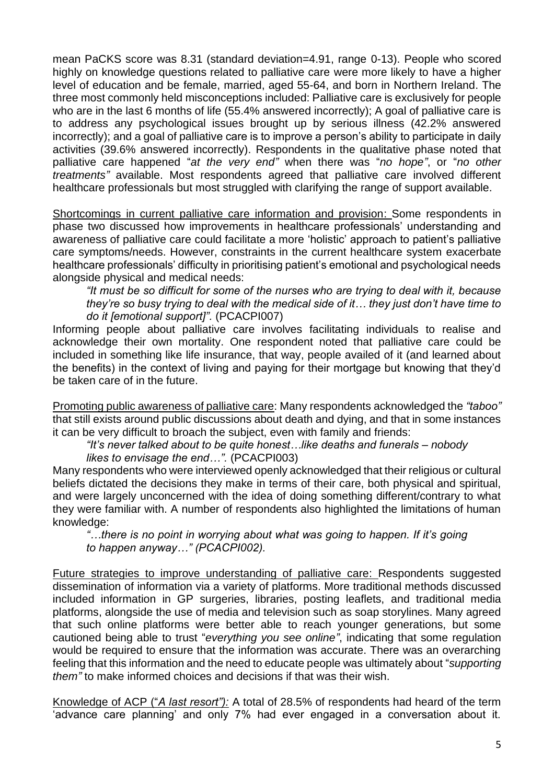mean PaCKS score was 8.31 (standard deviation=4.91, range 0-13). People who scored highly on knowledge questions related to palliative care were more likely to have a higher level of education and be female, married, aged 55-64, and born in Northern Ireland. The three most commonly held misconceptions included: Palliative care is exclusively for people who are in the last 6 months of life (55.4% answered incorrectly); A goal of palliative care is to address any psychological issues brought up by serious illness (42.2% answered incorrectly); and a goal of palliative care is to improve a person's ability to participate in daily activities (39.6% answered incorrectly). Respondents in the qualitative phase noted that palliative care happened "*at the very end"* when there was "*no hope"*, or "*no other treatments"* available. Most respondents agreed that palliative care involved different healthcare professionals but most struggled with clarifying the range of support available.

Shortcomings in current palliative care information and provision: Some respondents in phase two discussed how improvements in healthcare professionals' understanding and awareness of palliative care could facilitate a more 'holistic' approach to patient's palliative care symptoms/needs. However, constraints in the current healthcare system exacerbate healthcare professionals' difficulty in prioritising patient's emotional and psychological needs alongside physical and medical needs:

*"It must be so difficult for some of the nurses who are trying to deal with it, because they're so busy trying to deal with the medical side of it… they just don't have time to do it [emotional support]".* (PCACPI007)

Informing people about palliative care involves facilitating individuals to realise and acknowledge their own mortality. One respondent noted that palliative care could be included in something like life insurance, that way, people availed of it (and learned about the benefits) in the context of living and paying for their mortgage but knowing that they'd be taken care of in the future.

Promoting public awareness of palliative care: Many respondents acknowledged the *"taboo"* that still exists around public discussions about death and dying, and that in some instances it can be very difficult to broach the subject, even with family and friends:

*"It's never talked about to be quite honest…like deaths and funerals – nobody likes to envisage the end…".* (PCACPI003)

Many respondents who were interviewed openly acknowledged that their religious or cultural beliefs dictated the decisions they make in terms of their care, both physical and spiritual, and were largely unconcerned with the idea of doing something different/contrary to what they were familiar with. A number of respondents also highlighted the limitations of human knowledge:

*"…there is no point in worrying about what was going to happen. If it's going to happen anyway…" (PCACPI002).*

Future strategies to improve understanding of palliative care: Respondents suggested dissemination of information via a variety of platforms. More traditional methods discussed included information in GP surgeries, libraries, posting leaflets, and traditional media platforms, alongside the use of media and television such as soap storylines. Many agreed that such online platforms were better able to reach younger generations, but some cautioned being able to trust "*everything you see online"*, indicating that some regulation would be required to ensure that the information was accurate. There was an overarching feeling that this information and the need to educate people was ultimately about "*supporting them"* to make informed choices and decisions if that was their wish.

Knowledge of ACP ("*A last resort"):* A total of 28.5% of respondents had heard of the term 'advance care planning' and only 7% had ever engaged in a conversation about it.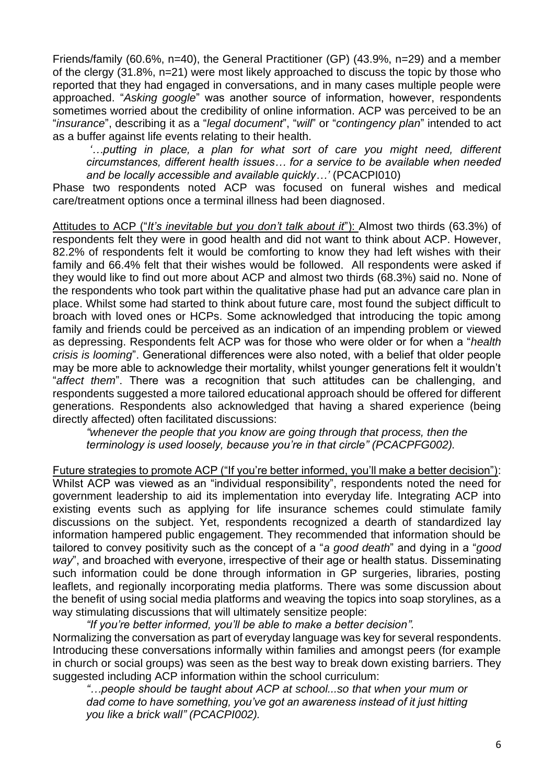Friends/family (60.6%, n=40), the General Practitioner (GP) (43.9%, n=29) and a member of the clergy (31.8%, n=21) were most likely approached to discuss the topic by those who reported that they had engaged in conversations, and in many cases multiple people were approached. "*Asking google*" was another source of information, however, respondents sometimes worried about the credibility of online information. ACP was perceived to be an "*insurance*", describing it as a "*legal document*", "*will*" or "*contingency plan*" intended to act as a buffer against life events relating to their health.

*'…putting in place, a plan for what sort of care you might need, different circumstances, different health issues… for a service to be available when needed and be locally accessible and available quickly…'* (PCACPI010)

Phase two respondents noted ACP was focused on funeral wishes and medical care/treatment options once a terminal illness had been diagnosed.

Attitudes to ACP ("*It's inevitable but you don't talk about it*"): Almost two thirds (63.3%) of respondents felt they were in good health and did not want to think about ACP. However, 82.2% of respondents felt it would be comforting to know they had left wishes with their family and 66.4% felt that their wishes would be followed. All respondents were asked if they would like to find out more about ACP and almost two thirds (68.3%) said no. None of the respondents who took part within the qualitative phase had put an advance care plan in place. Whilst some had started to think about future care, most found the subject difficult to broach with loved ones or HCPs. Some acknowledged that introducing the topic among family and friends could be perceived as an indication of an impending problem or viewed as depressing. Respondents felt ACP was for those who were older or for when a "*health crisis is looming*". Generational differences were also noted, with a belief that older people may be more able to acknowledge their mortality, whilst younger generations felt it wouldn't "*affect them*". There was a recognition that such attitudes can be challenging, and respondents suggested a more tailored educational approach should be offered for different generations. Respondents also acknowledged that having a shared experience (being directly affected) often facilitated discussions:

*"whenever the people that you know are going through that process, then the terminology is used loosely, because you're in that circle" (PCACPFG002).*

Future strategies to promote ACP ("If you're better informed, you'll make a better decision"): Whilst ACP was viewed as an "individual responsibility", respondents noted the need for government leadership to aid its implementation into everyday life. Integrating ACP into existing events such as applying for life insurance schemes could stimulate family discussions on the subject. Yet, respondents recognized a dearth of standardized lay information hampered public engagement. They recommended that information should be tailored to convey positivity such as the concept of a "*a good death*" and dying in a "*good way*", and broached with everyone, irrespective of their age or health status. Disseminating such information could be done through information in GP surgeries, libraries, posting leaflets, and regionally incorporating media platforms. There was some discussion about the benefit of using social media platforms and weaving the topics into soap storylines, as a way stimulating discussions that will ultimately sensitize people:

*"If you're better informed, you'll be able to make a better decision".* Normalizing the conversation as part of everyday language was key for several respondents. Introducing these conversations informally within families and amongst peers (for example in church or social groups) was seen as the best way to break down existing barriers. They suggested including ACP information within the school curriculum:

*"…people should be taught about ACP at school...so that when your mum or dad come to have something, you've got an awareness instead of it just hitting you like a brick wall" (PCACPI002).*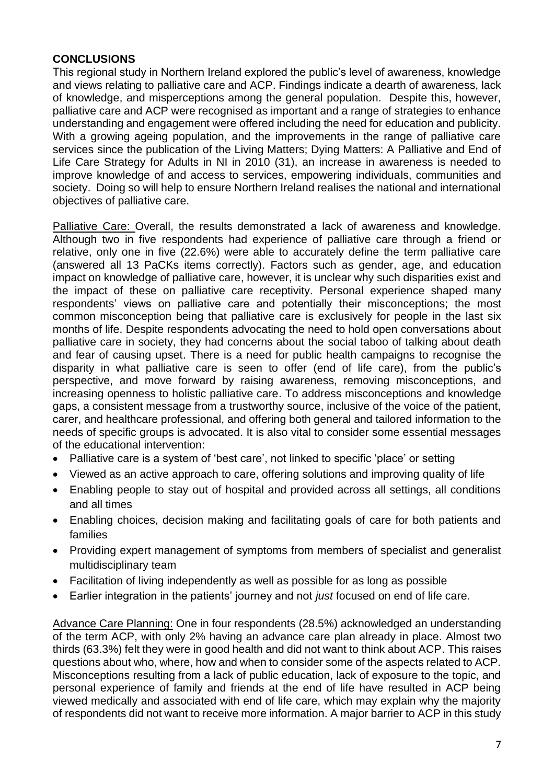#### **CONCLUSIONS**

This regional study in Northern Ireland explored the public's level of awareness, knowledge and views relating to palliative care and ACP. Findings indicate a dearth of awareness, lack of knowledge, and misperceptions among the general population. Despite this, however, palliative care and ACP were recognised as important and a range of strategies to enhance understanding and engagement were offered including the need for education and publicity. With a growing ageing population, and the improvements in the range of palliative care services since the publication of the Living Matters; Dying Matters: A Palliative and End of Life Care Strategy for Adults in NI in 2010 (31), an increase in awareness is needed to improve knowledge of and access to services, empowering individuals, communities and society. Doing so will help to ensure Northern Ireland realises the national and international objectives of palliative care.

Palliative Care: Overall, the results demonstrated a lack of awareness and knowledge. Although two in five respondents had experience of palliative care through a friend or relative, only one in five (22.6%) were able to accurately define the term palliative care (answered all 13 PaCKs items correctly). Factors such as gender, age, and education impact on knowledge of palliative care, however, it is unclear why such disparities exist and the impact of these on palliative care receptivity. Personal experience shaped many respondents' views on palliative care and potentially their misconceptions; the most common misconception being that palliative care is exclusively for people in the last six months of life. Despite respondents advocating the need to hold open conversations about palliative care in society, they had concerns about the social taboo of talking about death and fear of causing upset. There is a need for public health campaigns to recognise the disparity in what palliative care is seen to offer (end of life care), from the public's perspective, and move forward by raising awareness, removing misconceptions, and increasing openness to holistic palliative care. To address misconceptions and knowledge gaps, a consistent message from a trustworthy source, inclusive of the voice of the patient, carer, and healthcare professional, and offering both general and tailored information to the needs of specific groups is advocated. It is also vital to consider some essential messages of the educational intervention:

- Palliative care is a system of 'best care', not linked to specific 'place' or setting
- Viewed as an active approach to care, offering solutions and improving quality of life
- Enabling people to stay out of hospital and provided across all settings, all conditions and all times
- Enabling choices, decision making and facilitating goals of care for both patients and families
- Providing expert management of symptoms from members of specialist and generalist multidisciplinary team
- Facilitation of living independently as well as possible for as long as possible
- Earlier integration in the patients' journey and not *just* focused on end of life care.

Advance Care Planning: One in four respondents (28.5%) acknowledged an understanding of the term ACP, with only 2% having an advance care plan already in place. Almost two thirds (63.3%) felt they were in good health and did not want to think about ACP. This raises questions about who, where, how and when to consider some of the aspects related to ACP. Misconceptions resulting from a lack of public education, lack of exposure to the topic, and personal experience of family and friends at the end of life have resulted in ACP being viewed medically and associated with end of life care, which may explain why the majority of respondents did not want to receive more information. A major barrier to ACP in this study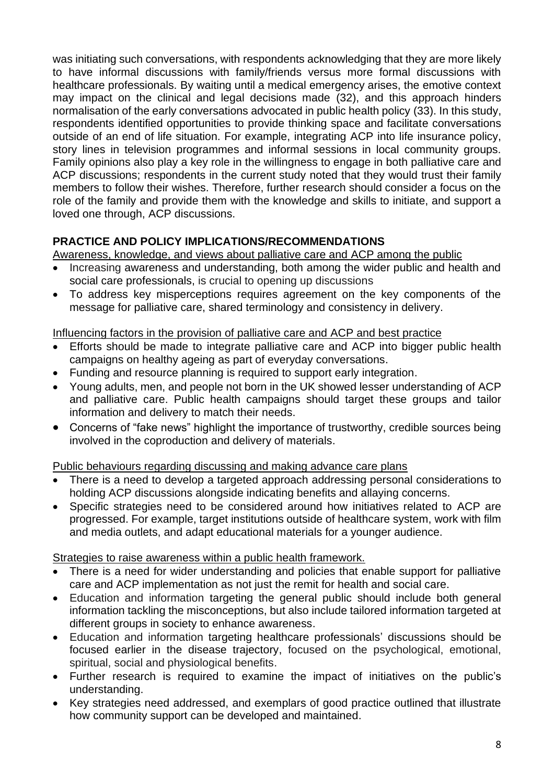was initiating such conversations, with respondents acknowledging that they are more likely to have informal discussions with family/friends versus more formal discussions with healthcare professionals. By waiting until a medical emergency arises, the emotive context may impact on the clinical and legal decisions made (32), and this approach hinders normalisation of the early conversations advocated in public health policy (33). In this study, respondents identified opportunities to provide thinking space and facilitate conversations outside of an end of life situation. For example, integrating ACP into life insurance policy, story lines in television programmes and informal sessions in local community groups. Family opinions also play a key role in the willingness to engage in both palliative care and ACP discussions; respondents in the current study noted that they would trust their family members to follow their wishes. Therefore, further research should consider a focus on the role of the family and provide them with the knowledge and skills to initiate, and support a loved one through, ACP discussions.

## **PRACTICE AND POLICY IMPLICATIONS/RECOMMENDATIONS**

Awareness, knowledge, and views about palliative care and ACP among the public

- Increasing awareness and understanding, both among the wider public and health and social care professionals, is crucial to opening up discussions
- To address key misperceptions requires agreement on the key components of the message for palliative care, shared terminology and consistency in delivery.

### Influencing factors in the provision of palliative care and ACP and best practice

- Efforts should be made to integrate palliative care and ACP into bigger public health campaigns on healthy ageing as part of everyday conversations.
- Funding and resource planning is required to support early integration.
- Young adults, men, and people not born in the UK showed lesser understanding of ACP and palliative care. Public health campaigns should target these groups and tailor information and delivery to match their needs.
- Concerns of "fake news" highlight the importance of trustworthy, credible sources being involved in the coproduction and delivery of materials.

### Public behaviours regarding discussing and making advance care plans

- There is a need to develop a targeted approach addressing personal considerations to holding ACP discussions alongside indicating benefits and allaying concerns.
- Specific strategies need to be considered around how initiatives related to ACP are progressed. For example, target institutions outside of healthcare system, work with film and media outlets, and adapt educational materials for a younger audience.

### Strategies to raise awareness within a public health framework.

- There is a need for wider understanding and policies that enable support for palliative care and ACP implementation as not just the remit for health and social care.
- Education and information targeting the general public should include both general information tackling the misconceptions, but also include tailored information targeted at different groups in society to enhance awareness.
- Education and information targeting healthcare professionals' discussions should be focused earlier in the disease trajectory, focused on the psychological, emotional, spiritual, social and physiological benefits.
- Further research is required to examine the impact of initiatives on the public's understanding.
- Key strategies need addressed, and exemplars of good practice outlined that illustrate how community support can be developed and maintained.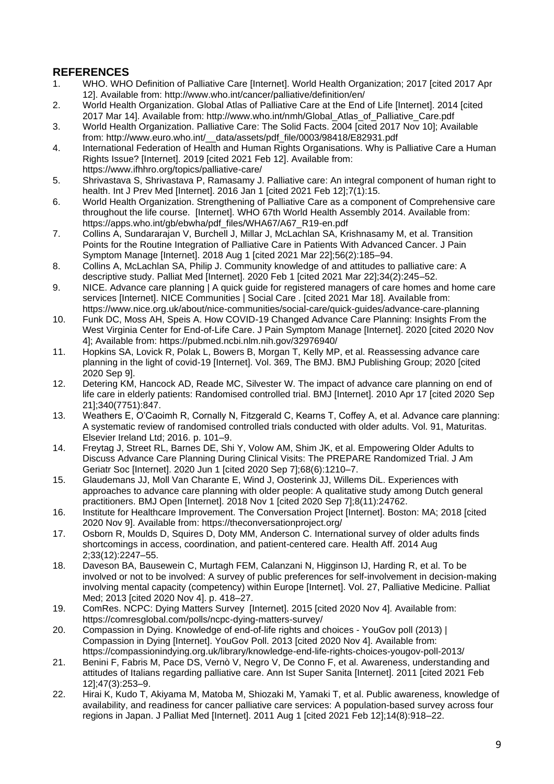## **REFERENCES**

- 1. WHO. WHO Definition of Palliative Care [Internet]. World Health Organization; 2017 [cited 2017 Apr 12]. Available from: http://www.who.int/cancer/palliative/definition/en/
- 2. World Health Organization. Global Atlas of Palliative Care at the End of Life [Internet]. 2014 [cited 2017 Mar 14]. Available from: http://www.who.int/nmh/Global\_Atlas\_of\_Palliative\_Care.pdf
- 3. World Health Organization. Palliative Care: The Solid Facts. 2004 [cited 2017 Nov 10]; Available from: http://www.euro.who.int/\_\_data/assets/pdf\_file/0003/98418/E82931.pdf
- 4. International Federation of Health and Human Rights Organisations. Why is Palliative Care a Human Rights Issue? [Internet]. 2019 [cited 2021 Feb 12]. Available from: https://www.ifhhro.org/topics/palliative-care/
- 5. Shrivastava S, Shrivastava P, Ramasamy J. Palliative care: An integral component of human right to health. Int J Prev Med [Internet]. 2016 Jan 1 [cited 2021 Feb 12];7(1):15.
- 6. World Health Organization. Strengthening of Palliative Care as a component of Comprehensive care throughout the life course. [Internet]. WHO 67th World Health Assembly 2014. Available from: https://apps.who.int/gb/ebwha/pdf\_files/WHA67/A67\_R19-en.pdf
- 7. Collins A, Sundararajan V, Burchell J, Millar J, McLachlan SA, Krishnasamy M, et al. Transition Points for the Routine Integration of Palliative Care in Patients With Advanced Cancer. J Pain Symptom Manage [Internet]. 2018 Aug 1 [cited 2021 Mar 22];56(2):185–94.
- 8. Collins A, McLachlan SA, Philip J. Community knowledge of and attitudes to palliative care: A descriptive study. Palliat Med [Internet]. 2020 Feb 1 [cited 2021 Mar 22];34(2):245–52.
- 9. NICE. Advance care planning | A quick guide for registered managers of care homes and home care services [Internet]. NICE Communities | Social Care . [cited 2021 Mar 18]. Available from: https://www.nice.org.uk/about/nice-communities/social-care/quick-guides/advance-care-planning
- 10. Funk DC, Moss AH, Speis A. How COVID-19 Changed Advance Care Planning: Insights From the West Virginia Center for End-of-Life Care. J Pain Symptom Manage [Internet]. 2020 [cited 2020 Nov 4]; Available from: https://pubmed.ncbi.nlm.nih.gov/32976940/
- 11. Hopkins SA, Lovick R, Polak L, Bowers B, Morgan T, Kelly MP, et al. Reassessing advance care planning in the light of covid-19 [Internet]. Vol. 369, The BMJ. BMJ Publishing Group; 2020 [cited 2020 Sep 9].
- 12. Detering KM, Hancock AD, Reade MC, Silvester W. The impact of advance care planning on end of life care in elderly patients: Randomised controlled trial. BMJ [Internet]. 2010 Apr 17 [cited 2020 Sep 21];340(7751):847.
- 13. Weathers E, O'Caoimh R, Cornally N, Fitzgerald C, Kearns T, Coffey A, et al. Advance care planning: A systematic review of randomised controlled trials conducted with older adults. Vol. 91, Maturitas. Elsevier Ireland Ltd; 2016. p. 101–9.
- 14. Freytag J, Street RL, Barnes DE, Shi Y, Volow AM, Shim JK, et al. Empowering Older Adults to Discuss Advance Care Planning During Clinical Visits: The PREPARE Randomized Trial. J Am Geriatr Soc [Internet]. 2020 Jun 1 [cited 2020 Sep 7];68(6):1210–7.
- 15. Glaudemans JJ, Moll Van Charante E, Wind J, Oosterink JJ, Willems DiL. Experiences with approaches to advance care planning with older people: A qualitative study among Dutch general practitioners. BMJ Open [Internet]. 2018 Nov 1 [cited 2020 Sep 7];8(11):24762.
- 16. Institute for Healthcare Improvement. The Conversation Project [Internet]. Boston: MA; 2018 [cited 2020 Nov 9]. Available from: https://theconversationproject.org/
- 17. Osborn R, Moulds D, Squires D, Doty MM, Anderson C. International survey of older adults finds shortcomings in access, coordination, and patient-centered care. Health Aff. 2014 Aug 2;33(12):2247–55.
- 18. Daveson BA, Bausewein C, Murtagh FEM, Calanzani N, Higginson IJ, Harding R, et al. To be involved or not to be involved: A survey of public preferences for self-involvement in decision-making involving mental capacity (competency) within Europe [Internet]. Vol. 27, Palliative Medicine. Palliat Med; 2013 [cited 2020 Nov 4]. p. 418–27.
- 19. ComRes. NCPC: Dying Matters Survey [Internet]. 2015 [cited 2020 Nov 4]. Available from: https://comresglobal.com/polls/ncpc-dying-matters-survey/
- 20. Compassion in Dying. Knowledge of end-of-life rights and choices YouGov poll (2013) | Compassion in Dying [Internet]. YouGov Poll. 2013 [cited 2020 Nov 4]. Available from: https://compassionindying.org.uk/library/knowledge-end-life-rights-choices-yougov-poll-2013/
- 21. Benini F, Fabris M, Pace DS, Vernò V, Negro V, De Conno F, et al. Awareness, understanding and attitudes of Italians regarding palliative care. Ann Ist Super Sanita [Internet]. 2011 [cited 2021 Feb 12];47(3):253–9.
- 22. Hirai K, Kudo T, Akiyama M, Matoba M, Shiozaki M, Yamaki T, et al. Public awareness, knowledge of availability, and readiness for cancer palliative care services: A population-based survey across four regions in Japan. J Palliat Med [Internet]. 2011 Aug 1 [cited 2021 Feb 12];14(8):918–22.